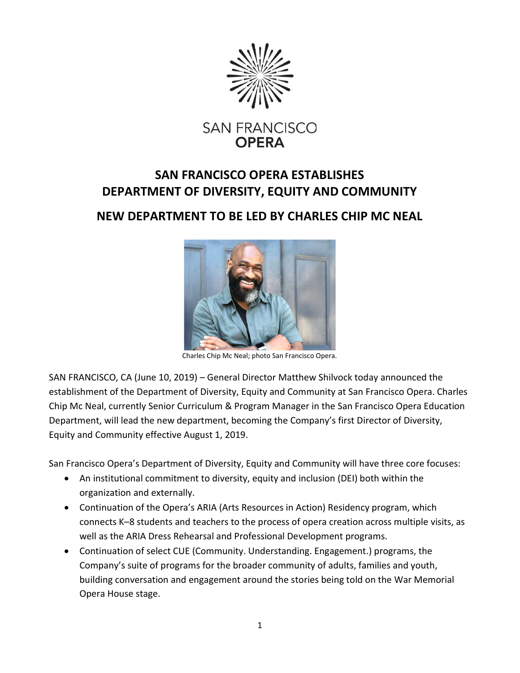

## SAN FRANCISCO OPERA ESTABLISHES DEPARTMENT OF DIVERSITY, EQUITY AND COMMUNITY

## NEW DEPARTMENT TO BE LED BY CHARLES CHIP MC NEAL



Charles Chip Mc Neal; photo San Francisco Opera.

SAN FRANCISCO, CA (June 10, 2019) – General Director Matthew Shilvock today announced the establishment of the Department of Diversity, Equity and Community at San Francisco Opera. Charles Chip Mc Neal, currently Senior Curriculum & Program Manager in the San Francisco Opera Education Department, will lead the new department, becoming the Company's first Director of Diversity, Equity and Community effective August 1, 2019.

San Francisco Opera's Department of Diversity, Equity and Community will have three core focuses:

- An institutional commitment to diversity, equity and inclusion (DEI) both within the organization and externally.
- Continuation of the Opera's ARIA (Arts Resources in Action) Residency program, which connects K–8 students and teachers to the process of opera creation across multiple visits, as well as the ARIA Dress Rehearsal and Professional Development programs.
- Continuation of select CUE (Community. Understanding. Engagement.) programs, the Company's suite of programs for the broader community of adults, families and youth, building conversation and engagement around the stories being told on the War Memorial Opera House stage.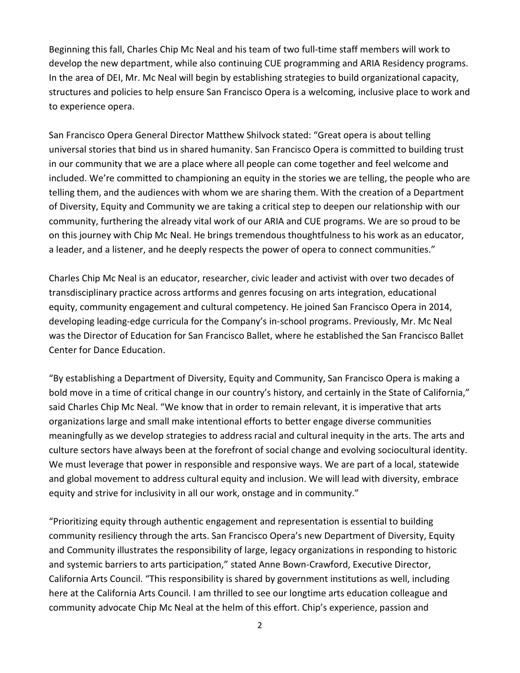Beginning this fall, Charles Chip Mc Neal and his team of two full-time staff members will work to develop the new department, while also continuing CUE programming and ARIA Residency programs. In the area of DEI, Mr. Mc Neal will begin by establishing strategies to build organizational capacity, structures and policies to help ensure San Francisco Opera is a welcoming, inclusive place to work and to experience opera.

San Francisco Opera General Director Matthew Shilvock stated: "Great opera is about telling universal stories that bind us in shared humanity. San Francisco Opera is committed to building trust in our community that we are a place where all people can come together and feel welcome and included. We're committed to championing an equity in the stories we are telling, the people who are telling them, and the audiences with whom we are sharing them. With the creation of a Department of Diversity, Equity and Community we are taking a critical step to deepen our relationship with our community, furthering the already vital work of our ARIA and CUE programs. We are so proud to be on this journey with Chip Mc Neal. He brings tremendous thoughtfulness to his work as an educator, a leader, and a listener, and he deeply respects the power of opera to connect communities."

Charles Chip Mc Neal is an educator, researcher, civic leader and activist with over two decades of transdisciplinary practice across artforms and genres focusing on arts integration, educational equity, community engagement and cultural competency. He joined San Francisco Opera in 2014, developing leading-edge curricula for the Company's in-school programs. Previously, Mr. Mc Neal was the Director of Education for San Francisco Ballet, where he established the San Francisco Ballet Center for Dance Education.

"By establishing a Department of Diversity, Equity and Community, San Francisco Opera is making a bold move in a time of critical change in our country's history, and certainly in the State of California," said Charles Chip Mc Neal. "We know that in order to remain relevant, it is imperative that arts organizations large and small make intentional efforts to better engage diverse communities meaningfully as we develop strategies to address racial and cultural inequity in the arts. The arts and culture sectors have always been at the forefront of social change and evolving sociocultural identity. We must leverage that power in responsible and responsive ways. We are part of a local, statewide and global movement to address cultural equity and inclusion. We will lead with diversity, embrace equity and strive for inclusivity in all our work, onstage and in community."

"Prioritizing equity through authentic engagement and representation is essential to building community resiliency through the arts. San Francisco Opera's new Department of Diversity, Equity and Community illustrates the responsibility of large, legacy organizations in responding to historic and systemic barriers to arts participation," stated Anne Bown-Crawford, Executive Director, California Arts Council. "This responsibility is shared by government institutions as well, including here at the California Arts Council. I am thrilled to see our longtime arts education colleague and community advocate Chip Mc Neal at the helm of this effort. Chip's experience, passion and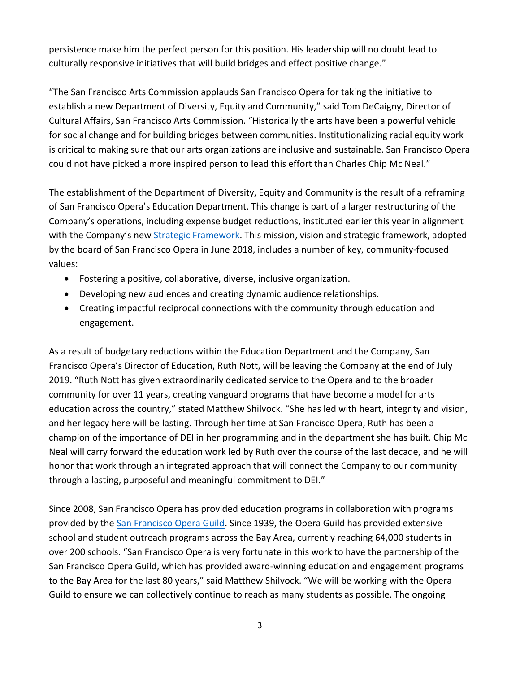persistence make him the perfect person for this position. His leadership will no doubt lead to culturally responsive initiatives that will build bridges and effect positive change."

"The San Francisco Arts Commission applauds San Francisco Opera for taking the initiative to establish a new Department of Diversity, Equity and Community," said Tom DeCaigny, Director of Cultural Affairs, San Francisco Arts Commission. "Historically the arts have been a powerful vehicle for social change and for building bridges between communities. Institutionalizing racial equity work is critical to making sure that our arts organizations are inclusive and sustainable. San Francisco Opera could not have picked a more inspired person to lead this effort than Charles Chip Mc Neal."

The establishment of the Department of Diversity, Equity and Community is the result of a reframing of San Francisco Opera's Education Department. This change is part of a larger restructuring of the Company's operations, including expense budget reductions, instituted earlier this year in alignment with the Company's new Strategic Framework. This mission, vision and strategic framework, adopted by the board of San Francisco Opera in June 2018, includes a number of key, community-focused values:

- Fostering a positive, collaborative, diverse, inclusive organization.
- Developing new audiences and creating dynamic audience relationships.
- Creating impactful reciprocal connections with the community through education and engagement.

As a result of budgetary reductions within the Education Department and the Company, San Francisco Opera's Director of Education, Ruth Nott, will be leaving the Company at the end of July 2019. "Ruth Nott has given extraordinarily dedicated service to the Opera and to the broader community for over 11 years, creating vanguard programs that have become a model for arts education across the country," stated Matthew Shilvock. "She has led with heart, integrity and vision, and her legacy here will be lasting. Through her time at San Francisco Opera, Ruth has been a champion of the importance of DEI in her programming and in the department she has built. Chip Mc Neal will carry forward the education work led by Ruth over the course of the last decade, and he will honor that work through an integrated approach that will connect the Company to our community through a lasting, purposeful and meaningful commitment to DEI."

Since 2008, San Francisco Opera has provided education programs in collaboration with programs provided by the San Francisco Opera Guild. Since 1939, the Opera Guild has provided extensive school and student outreach programs across the Bay Area, currently reaching 64,000 students in over 200 schools. "San Francisco Opera is very fortunate in this work to have the partnership of the San Francisco Opera Guild, which has provided award-winning education and engagement programs to the Bay Area for the last 80 years," said Matthew Shilvock. "We will be working with the Opera Guild to ensure we can collectively continue to reach as many students as possible. The ongoing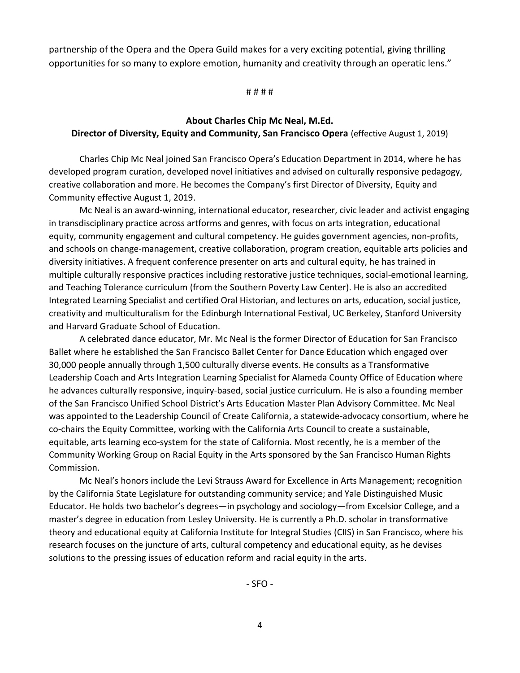partnership of the Opera and the Opera Guild makes for a very exciting potential, giving thrilling opportunities for so many to explore emotion, humanity and creativity through an operatic lens."

# # # #

## About Charles Chip Mc Neal, M.Ed. Director of Diversity, Equity and Community, San Francisco Opera (effective August 1, 2019)

Charles Chip Mc Neal joined San Francisco Opera's Education Department in 2014, where he has developed program curation, developed novel initiatives and advised on culturally responsive pedagogy, creative collaboration and more. He becomes the Company's first Director of Diversity, Equity and Community effective August 1, 2019.

 Mc Neal is an award-winning, international educator, researcher, civic leader and activist engaging in transdisciplinary practice across artforms and genres, with focus on arts integration, educational equity, community engagement and cultural competency. He guides government agencies, non-profits, and schools on change-management, creative collaboration, program creation, equitable arts policies and diversity initiatives. A frequent conference presenter on arts and cultural equity, he has trained in multiple culturally responsive practices including restorative justice techniques, social-emotional learning, and Teaching Tolerance curriculum (from the Southern Poverty Law Center). He is also an accredited Integrated Learning Specialist and certified Oral Historian, and lectures on arts, education, social justice, creativity and multiculturalism for the Edinburgh International Festival, UC Berkeley, Stanford University and Harvard Graduate School of Education.

 A celebrated dance educator, Mr. Mc Neal is the former Director of Education for San Francisco Ballet where he established the San Francisco Ballet Center for Dance Education which engaged over 30,000 people annually through 1,500 culturally diverse events. He consults as a Transformative Leadership Coach and Arts Integration Learning Specialist for Alameda County Office of Education where he advances culturally responsive, inquiry-based, social justice curriculum. He is also a founding member of the San Francisco Unified School District's Arts Education Master Plan Advisory Committee. Mc Neal was appointed to the Leadership Council of Create California, a statewide-advocacy consortium, where he co-chairs the Equity Committee, working with the California Arts Council to create a sustainable, equitable, arts learning eco-system for the state of California. Most recently, he is a member of the Community Working Group on Racial Equity in the Arts sponsored by the San Francisco Human Rights Commission.

 Mc Neal's honors include the Levi Strauss Award for Excellence in Arts Management; recognition by the California State Legislature for outstanding community service; and Yale Distinguished Music Educator. He holds two bachelor's degrees—in psychology and sociology—from Excelsior College, and a master's degree in education from Lesley University. He is currently a Ph.D. scholar in transformative theory and educational equity at California Institute for Integral Studies (CIIS) in San Francisco, where his research focuses on the juncture of arts, cultural competency and educational equity, as he devises solutions to the pressing issues of education reform and racial equity in the arts.

- SFO -